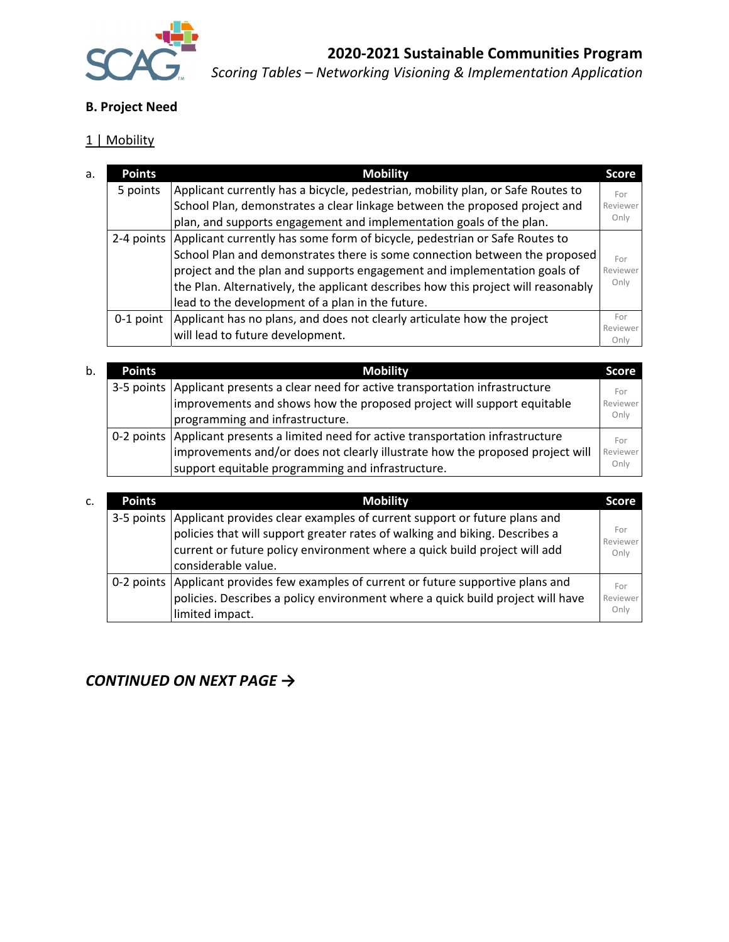

# **B. Project Need**

## 1 | Mobility

| Applicant currently has a bicycle, pedestrian, mobility plan, or Safe Routes to | For                                                                                                                                                                                                                                                                                                                                                                                                                                                                                                                                                                              |
|---------------------------------------------------------------------------------|----------------------------------------------------------------------------------------------------------------------------------------------------------------------------------------------------------------------------------------------------------------------------------------------------------------------------------------------------------------------------------------------------------------------------------------------------------------------------------------------------------------------------------------------------------------------------------|
|                                                                                 | Reviewer                                                                                                                                                                                                                                                                                                                                                                                                                                                                                                                                                                         |
|                                                                                 | Only                                                                                                                                                                                                                                                                                                                                                                                                                                                                                                                                                                             |
|                                                                                 |                                                                                                                                                                                                                                                                                                                                                                                                                                                                                                                                                                                  |
|                                                                                 | For                                                                                                                                                                                                                                                                                                                                                                                                                                                                                                                                                                              |
|                                                                                 | Reviewer                                                                                                                                                                                                                                                                                                                                                                                                                                                                                                                                                                         |
|                                                                                 | Only                                                                                                                                                                                                                                                                                                                                                                                                                                                                                                                                                                             |
|                                                                                 |                                                                                                                                                                                                                                                                                                                                                                                                                                                                                                                                                                                  |
|                                                                                 | For                                                                                                                                                                                                                                                                                                                                                                                                                                                                                                                                                                              |
|                                                                                 | Reviewer<br>Onlv                                                                                                                                                                                                                                                                                                                                                                                                                                                                                                                                                                 |
|                                                                                 | School Plan, demonstrates a clear linkage between the proposed project and<br>plan, and supports engagement and implementation goals of the plan.<br>2-4 points Applicant currently has some form of bicycle, pedestrian or Safe Routes to<br>School Plan and demonstrates there is some connection between the proposed<br>project and the plan and supports engagement and implementation goals of<br>the Plan. Alternatively, the applicant describes how this project will reasonably<br>0-1 point   Applicant has no plans, and does not clearly articulate how the project |

| b. | <b>Points</b> | <b>Mobility</b>                                                                       | <b>Score</b> |
|----|---------------|---------------------------------------------------------------------------------------|--------------|
|    |               | 3-5 points   Applicant presents a clear need for active transportation infrastructure | For          |
|    |               | improvements and shows how the proposed project will support equitable                | Reviewer     |
|    |               | programming and infrastructure.                                                       | Only         |
|    |               | 0-2 points Applicant presents a limited need for active transportation infrastructure | For          |
|    |               | improvements and/or does not clearly illustrate how the proposed project will         | Reviewer     |
|    |               | support equitable programming and infrastructure.                                     | Only         |

| c. | <b>Points</b> | <b>Mobility</b>                                                                                                                                                                                                                                                          | <b>Score</b>            |
|----|---------------|--------------------------------------------------------------------------------------------------------------------------------------------------------------------------------------------------------------------------------------------------------------------------|-------------------------|
|    |               | 3-5 points   Applicant provides clear examples of current support or future plans and<br>policies that will support greater rates of walking and biking. Describes a<br>current or future policy environment where a quick build project will add<br>considerable value. | For<br>Reviewer<br>Only |
|    |               | 0-2 points Applicant provides few examples of current or future supportive plans and<br>policies. Describes a policy environment where a quick build project will have<br>limited impact.                                                                                | For<br>Reviewer<br>Only |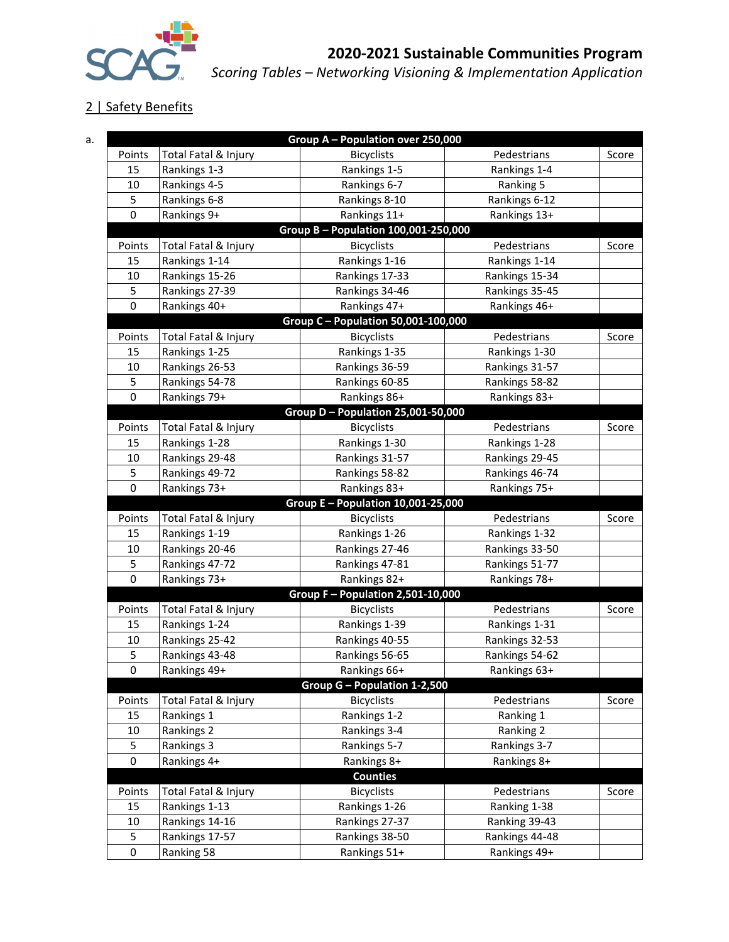

## 2 | Safety Benefits

|           |                      | Group A - Population over 250,000    |                |       |
|-----------|----------------------|--------------------------------------|----------------|-------|
| Points    | Total Fatal & Injury | <b>Bicyclists</b>                    | Pedestrians    | Score |
| 15        | Rankings 1-3         | Rankings 1-5                         | Rankings 1-4   |       |
| 10        | Rankings 4-5         | Rankings 6-7                         | Ranking 5      |       |
| 5         | Rankings 6-8         | Rankings 8-10                        | Rankings 6-12  |       |
| 0         | Rankings 9+          | Rankings 11+                         | Rankings 13+   |       |
|           |                      | Group B - Population 100,001-250,000 |                |       |
| Points    | Total Fatal & Injury | <b>Bicyclists</b>                    | Pedestrians    | Score |
| 15        | Rankings 1-14        | Rankings 1-16                        | Rankings 1-14  |       |
| 10        | Rankings 15-26       | Rankings 17-33                       | Rankings 15-34 |       |
| 5         | Rankings 27-39       | Rankings 34-46                       | Rankings 35-45 |       |
| 0         | Rankings 40+         | Rankings 47+                         | Rankings 46+   |       |
|           |                      | Group C - Population 50,001-100,000  |                |       |
| Points    | Total Fatal & Injury | <b>Bicyclists</b>                    | Pedestrians    | Score |
| 15        | Rankings 1-25        | Rankings 1-35                        | Rankings 1-30  |       |
| 10        | Rankings 26-53       | Rankings 36-59                       | Rankings 31-57 |       |
| 5         | Rankings 54-78       | Rankings 60-85                       | Rankings 58-82 |       |
| 0         | Rankings 79+         | Rankings 86+                         | Rankings 83+   |       |
|           |                      | Group D - Population 25,001-50,000   |                |       |
| Points    | Total Fatal & Injury | <b>Bicyclists</b>                    | Pedestrians    | Score |
| 15        | Rankings 1-28        | Rankings 1-30                        | Rankings 1-28  |       |
| 10        | Rankings 29-48       | Rankings 31-57                       | Rankings 29-45 |       |
| 5         | Rankings 49-72       | Rankings 58-82                       | Rankings 46-74 |       |
| 0         | Rankings 73+         | Rankings 83+                         | Rankings 75+   |       |
|           |                      | Group E - Population 10,001-25,000   |                |       |
| Points    | Total Fatal & Injury | <b>Bicyclists</b>                    | Pedestrians    | Score |
| 15        | Rankings 1-19        | Rankings 1-26                        | Rankings 1-32  |       |
| 10        | Rankings 20-46       | Rankings 27-46                       | Rankings 33-50 |       |
| 5         | Rankings 47-72       | Rankings 47-81                       | Rankings 51-77 |       |
| 0         | Rankings 73+         | Rankings 82+                         | Rankings 78+   |       |
|           |                      | Group F - Population 2,501-10,000    |                |       |
| Points    | Total Fatal & Injury | <b>Bicyclists</b>                    | Pedestrians    | Score |
| 15        | Rankings 1-24        | Rankings 1-39                        | Rankings 1-31  |       |
| 10        | Rankings 25-42       | Rankings 40-55                       | Rankings 32-53 |       |
| 5         | Rankings 43-48       | Rankings 56-65                       | Rankings 54-62 |       |
| 0         | Rankings 49+         | Rankings 66+                         | Rankings 63+   |       |
|           |                      | Group G - Population 1-2,500         |                |       |
| Points    | Total Fatal & Injury | <b>Bicyclists</b>                    | Pedestrians    | Score |
| 15        | Rankings 1           | Rankings 1-2                         | Ranking 1      |       |
| 10        | Rankings 2           | Rankings 3-4                         | Ranking 2      |       |
| 5         | Rankings 3           | Rankings 5-7                         | Rankings 3-7   |       |
| $\pmb{0}$ | Rankings 4+          | Rankings 8+                          | Rankings 8+    |       |
|           |                      | <b>Counties</b>                      |                |       |
| Points    | Total Fatal & Injury | <b>Bicyclists</b>                    | Pedestrians    | Score |
| 15        | Rankings 1-13        | Rankings 1-26                        | Ranking 1-38   |       |
| 10        | Rankings 14-16       | Rankings 27-37                       | Ranking 39-43  |       |
| 5         | Rankings 17-57       | Rankings 38-50                       | Rankings 44-48 |       |
| 0         | Ranking 58           | Rankings 51+                         | Rankings 49+   |       |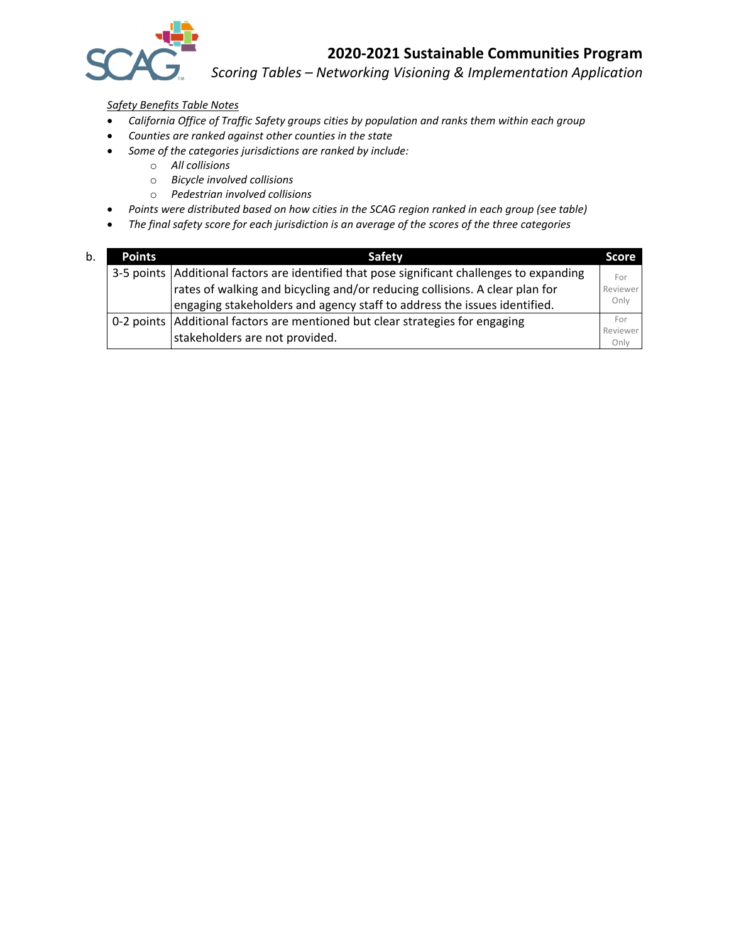

*Scoring Tables – Networking Visioning & Implementation Application*

*Safety Benefits Table Notes*

- *California Office of Traffic Safety groups cities by population and ranks them within each group*
- *Counties are ranked against other counties in the state*
- *Some of the categories jurisdictions are ranked by include:*
	- o *All collisions*
	- o *Bicycle involved collisions*
	- o *Pedestrian involved collisions*
- *Points were distributed based on how cities in the SCAG region ranked in each group (see table)*
- *The final safety score for each jurisdiction is an average of the scores of the three categories*

| b. | <b>Points</b> | Safety                                                                                       | <b>Score</b>     |
|----|---------------|----------------------------------------------------------------------------------------------|------------------|
|    |               | 3-5 points   Additional factors are identified that pose significant challenges to expanding | For              |
|    |               | rates of walking and bicycling and/or reducing collisions. A clear plan for                  | Reviewer         |
|    |               | engaging stakeholders and agency staff to address the issues identified.                     | Only             |
|    |               | 0-2 points Additional factors are mentioned but clear strategies for engaging                | For              |
|    |               | stakeholders are not provided.                                                               | Reviewer<br>Only |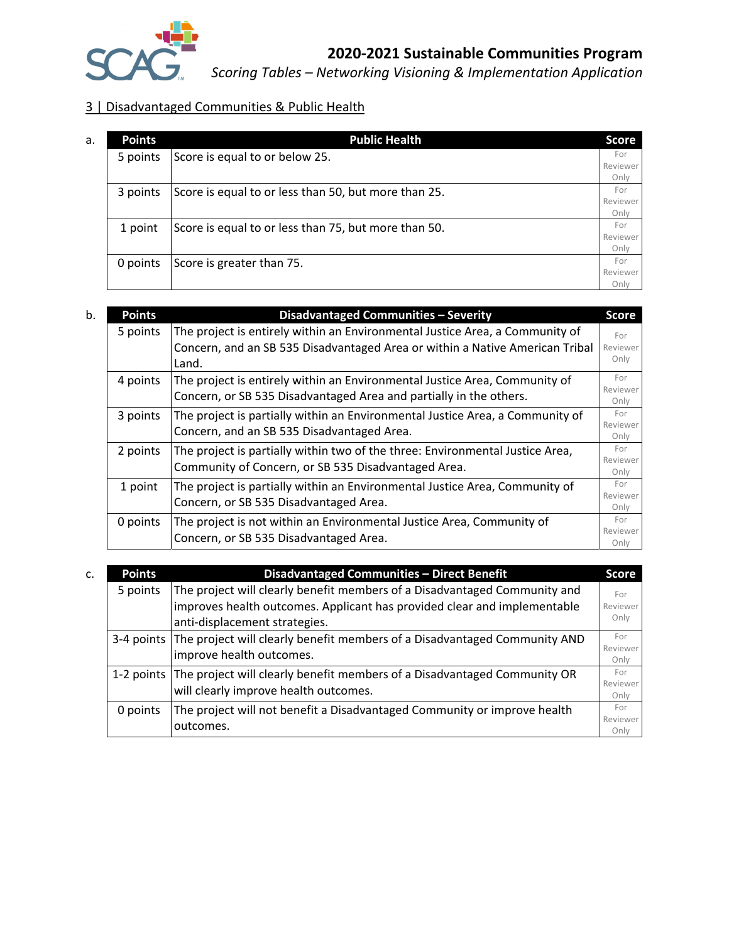

*Scoring Tables – Networking Visioning & Implementation Application*

# 3 | Disadvantaged Communities & Public Health

| a. | <b>Points</b> | <b>Public Health</b>                                 | <b>Score</b> |
|----|---------------|------------------------------------------------------|--------------|
|    | 5 points      | Score is equal to or below 25.                       | For          |
|    |               |                                                      | Reviewer     |
|    |               |                                                      | Only         |
|    | 3 points      | Score is equal to or less than 50, but more than 25. | For          |
|    |               |                                                      | Reviewer     |
|    |               |                                                      | Only         |
|    | 1 point       | Score is equal to or less than 75, but more than 50. | For          |
|    |               |                                                      | Reviewer     |
|    |               |                                                      | Only         |
|    | 0 points      | Score is greater than 75.                            | For          |
|    |               |                                                      | Reviewer     |
|    |               |                                                      | Onlv         |

| b. | <b>Points</b> | Disadvantaged Communities - Severity                                                                                                                                  | <b>Score</b>            |
|----|---------------|-----------------------------------------------------------------------------------------------------------------------------------------------------------------------|-------------------------|
|    | 5 points      | The project is entirely within an Environmental Justice Area, a Community of<br>Concern, and an SB 535 Disadvantaged Area or within a Native American Tribal<br>Land. | For<br>Reviewer<br>Only |
|    | 4 points      | The project is entirely within an Environmental Justice Area, Community of<br>Concern, or SB 535 Disadvantaged Area and partially in the others.                      | For<br>Reviewer<br>Only |
|    | 3 points      | The project is partially within an Environmental Justice Area, a Community of<br>Concern, and an SB 535 Disadvantaged Area.                                           | For<br>Reviewer<br>Only |
|    | 2 points      | The project is partially within two of the three: Environmental Justice Area,<br>Community of Concern, or SB 535 Disadvantaged Area.                                  | For<br>Reviewer<br>Only |
|    | 1 point       | The project is partially within an Environmental Justice Area, Community of<br>Concern, or SB 535 Disadvantaged Area.                                                 | For<br>Reviewer<br>Only |
|    | 0 points      | The project is not within an Environmental Justice Area, Community of<br>Concern, or SB 535 Disadvantaged Area.                                                       | For<br>Reviewer<br>Only |

| C. | <b>Points</b> | Disadvantaged Communities - Direct Benefit                                             | <b>Score</b>     |
|----|---------------|----------------------------------------------------------------------------------------|------------------|
|    | 5 points      | The project will clearly benefit members of a Disadvantaged Community and              | For              |
|    |               | improves health outcomes. Applicant has provided clear and implementable               | Reviewer         |
|    |               | anti-displacement strategies.                                                          | Only             |
|    |               | 3-4 points   The project will clearly benefit members of a Disadvantaged Community AND | For              |
|    |               | improve health outcomes.                                                               | Reviewer<br>Only |
|    |               | 1-2 points The project will clearly benefit members of a Disadvantaged Community OR    | For              |
|    |               | will clearly improve health outcomes.                                                  | Reviewer<br>Only |
|    | 0 points      | The project will not benefit a Disadvantaged Community or improve health               | For              |
|    |               | outcomes.                                                                              | Reviewer         |
|    |               |                                                                                        | Onlv             |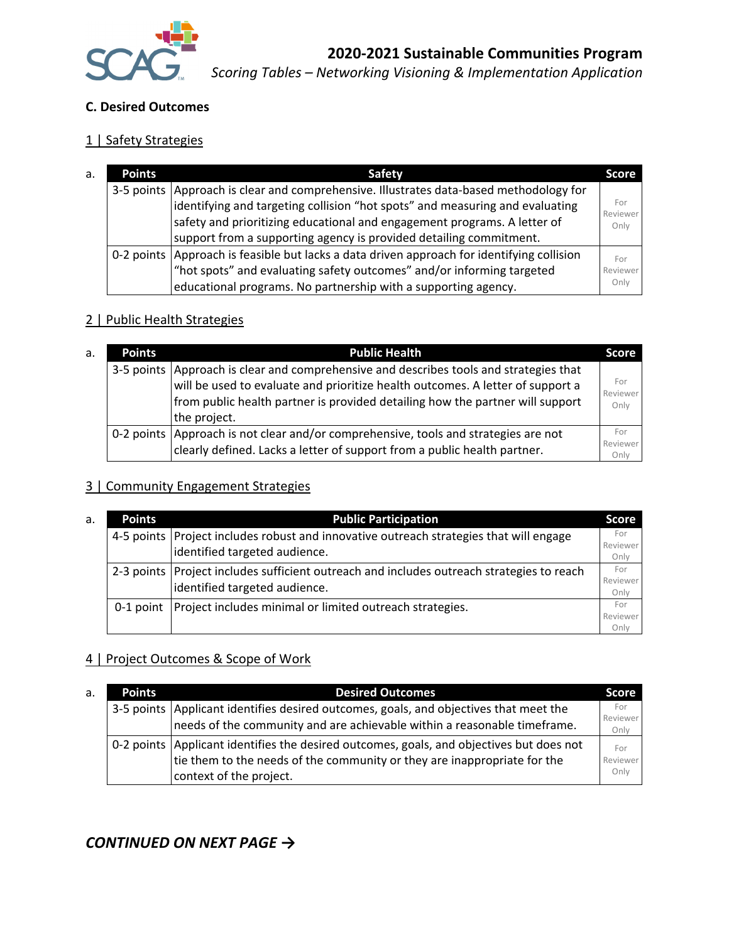

#### **C. Desired Outcomes**

## 1 | Safety Strategies

| a. | <b>Points</b> | Safety                                                                                                                                                                                                                                             | <b>Score</b>            |
|----|---------------|----------------------------------------------------------------------------------------------------------------------------------------------------------------------------------------------------------------------------------------------------|-------------------------|
|    |               | 3-5 points Approach is clear and comprehensive. Illustrates data-based methodology for<br>identifying and targeting collision "hot spots" and measuring and evaluating<br>safety and prioritizing educational and engagement programs. A letter of | For<br>Reviewer<br>Only |
|    |               | support from a supporting agency is provided detailing commitment.                                                                                                                                                                                 |                         |
|    |               | 0-2 points Approach is feasible but lacks a data driven approach for identifying collision                                                                                                                                                         | For                     |
|    |               | "hot spots" and evaluating safety outcomes" and/or informing targeted                                                                                                                                                                              | Reviewer                |
|    |               | educational programs. No partnership with a supporting agency.                                                                                                                                                                                     | Only                    |

#### 2 | Public Health Strategies

| a. | <b>Points</b> | <b>Public Health</b>                                                                                                                                                                                                                                                      | <b>Score</b>            |
|----|---------------|---------------------------------------------------------------------------------------------------------------------------------------------------------------------------------------------------------------------------------------------------------------------------|-------------------------|
|    |               | 3-5 points Approach is clear and comprehensive and describes tools and strategies that<br>will be used to evaluate and prioritize health outcomes. A letter of support a<br>from public health partner is provided detailing how the partner will support<br>the project. | For<br>Reviewer<br>Only |
|    |               | 0-2 points   Approach is not clear and/or comprehensive, tools and strategies are not<br>clearly defined. Lacks a letter of support from a public health partner.                                                                                                         | For<br>Reviewer<br>Only |

#### 3 | Community Engagement Strategies

| a. | <b>Points</b> | <b>Public Participation</b>                                                                                                  | <b>Score</b>            |
|----|---------------|------------------------------------------------------------------------------------------------------------------------------|-------------------------|
|    |               | 4-5 points   Project includes robust and innovative outreach strategies that will engage<br>identified targeted audience.    | For<br>Reviewer<br>Only |
|    |               | 2-3 points   Project includes sufficient outreach and includes outreach strategies to reach<br>identified targeted audience. | For<br>Reviewer<br>Only |
|    |               | 0-1 point   Project includes minimal or limited outreach strategies.                                                         | For<br>Reviewer<br>Onlv |

#### 4 | Project Outcomes & Scope of Work

| a. | <b>Points</b> | <b>Desired Outcomes</b>                                                                    | <b>Score</b>    |
|----|---------------|--------------------------------------------------------------------------------------------|-----------------|
|    |               | 3-5 points   Applicant identifies desired outcomes, goals, and objectives that meet the    | For<br>Reviewer |
|    |               | needs of the community and are achievable within a reasonable timeframe.                   | Only            |
|    |               | 0-2 points   Applicant identifies the desired outcomes, goals, and objectives but does not | For             |
|    |               | tie them to the needs of the community or they are inappropriate for the                   | Reviewer        |
|    |               | context of the project.                                                                    | Only            |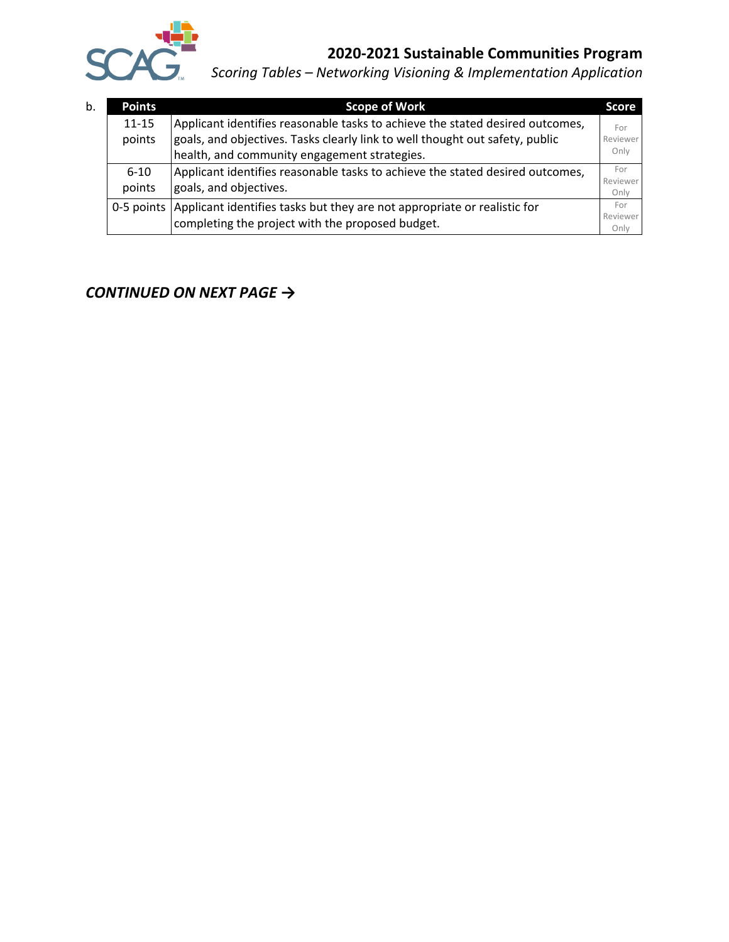

*Scoring Tables – Networking Visioning & Implementation Application*

| b. | <b>Points</b>       | <b>Scope of Work</b>                                                                                                                                                                                          | <b>Score</b>            |
|----|---------------------|---------------------------------------------------------------------------------------------------------------------------------------------------------------------------------------------------------------|-------------------------|
|    | $11 - 15$<br>points | Applicant identifies reasonable tasks to achieve the stated desired outcomes,<br>goals, and objectives. Tasks clearly link to well thought out safety, public<br>health, and community engagement strategies. | For<br>Reviewer<br>Only |
|    | $6 - 10$<br>points  | Applicant identifies reasonable tasks to achieve the stated desired outcomes,<br>goals, and objectives.                                                                                                       | For<br>Reviewer<br>Only |
|    |                     | 0-5 points Applicant identifies tasks but they are not appropriate or realistic for<br>completing the project with the proposed budget.                                                                       | For<br>Reviewer<br>Only |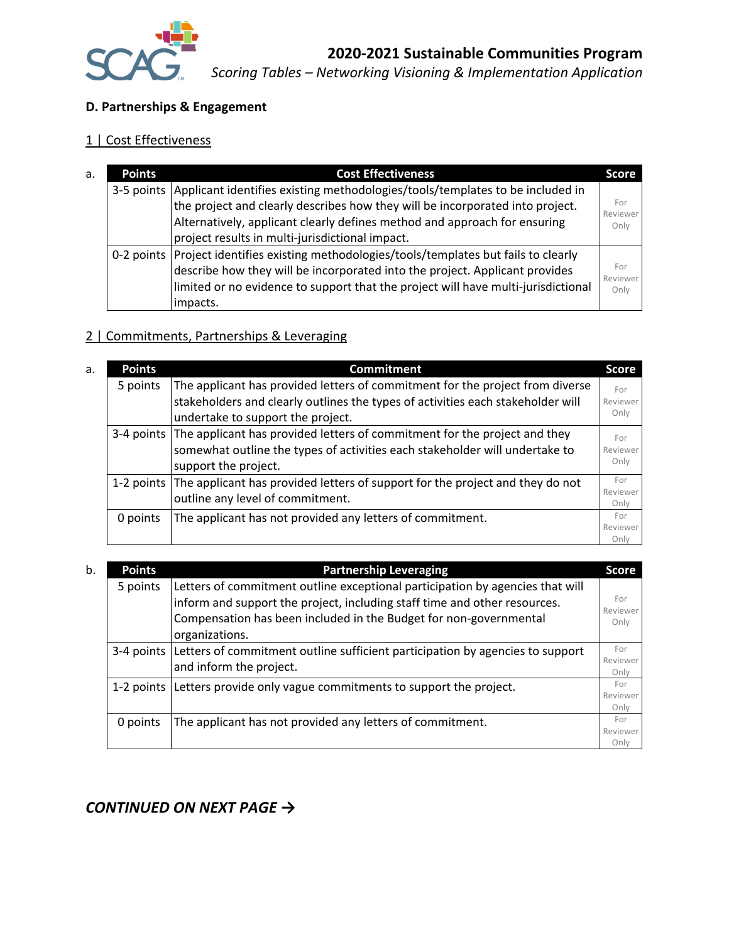

## **D. Partnerships & Engagement**

# 1 | Cost Effectiveness

| <b>Points</b> | <b>Cost Effectiveness</b>                                                                 | <b>Score</b>    |
|---------------|-------------------------------------------------------------------------------------------|-----------------|
|               | 3-5 points Applicant identifies existing methodologies/tools/templates to be included in  |                 |
|               | the project and clearly describes how they will be incorporated into project.             | For<br>Reviewer |
|               | Alternatively, applicant clearly defines method and approach for ensuring                 | Only            |
|               | project results in multi-jurisdictional impact.                                           |                 |
|               | 0-2 points Project identifies existing methodologies/tools/templates but fails to clearly |                 |
|               | $ $ describe how they will be incorporated into the project. Applicant provides           | For<br>Reviewer |
|               | limited or no evidence to support that the project will have multi-jurisdictional         | Only            |
|               | impacts.                                                                                  |                 |

## 2 | Commitments, Partnerships & Leveraging

| a. | <b>Points</b> | <b>Commitment</b>                                                                        | <b>Score</b>     |
|----|---------------|------------------------------------------------------------------------------------------|------------------|
|    | 5 points      | The applicant has provided letters of commitment for the project from diverse            | For              |
|    |               | stakeholders and clearly outlines the types of activities each stakeholder will          | Reviewer         |
|    |               | undertake to support the project.                                                        | Only             |
|    |               | 3-4 points The applicant has provided letters of commitment for the project and they     | For              |
|    |               | somewhat outline the types of activities each stakeholder will undertake to              | Reviewer         |
|    |               | support the project.                                                                     | Only             |
|    |               | 1-2 points The applicant has provided letters of support for the project and they do not | For              |
|    |               | outline any level of commitment.                                                         | Reviewer<br>Only |
|    | 0 points      | The applicant has not provided any letters of commitment.                                | For              |
|    |               |                                                                                          | Reviewer         |
|    |               |                                                                                          | Onlv             |

| b. | <b>Points</b> | <b>Partnership Leveraging</b>                                                                                                                                                                                                                     |                         |
|----|---------------|---------------------------------------------------------------------------------------------------------------------------------------------------------------------------------------------------------------------------------------------------|-------------------------|
|    | 5 points      | Letters of commitment outline exceptional participation by agencies that will<br>inform and support the project, including staff time and other resources.<br>Compensation has been included in the Budget for non-governmental<br>organizations. | For<br>Reviewer<br>Only |
|    |               | 3-4 points Letters of commitment outline sufficient participation by agencies to support<br>and inform the project.                                                                                                                               | For<br>Reviewer<br>Only |
|    |               | 1-2 points Letters provide only vague commitments to support the project.                                                                                                                                                                         | For<br>Reviewer<br>Only |
|    | 0 points      | The applicant has not provided any letters of commitment.                                                                                                                                                                                         | For<br>Reviewer<br>Only |